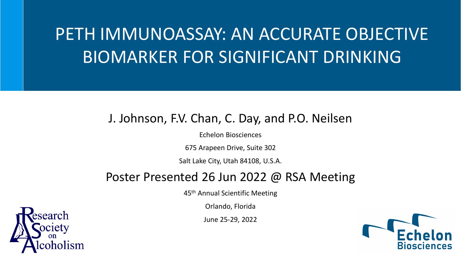# PETH IMMUNOASSAY: AN ACCURATE OBJECTIVE BIOMARKER FOR SIGNIFICANT DRINKING

#### J. Johnson, F.V. Chan, C. Day, and P.O. Neilsen

Echelon Biosciences

675 Arapeen Drive, Suite 302

Salt Lake City, Utah 84108, U.S.A.

#### Poster Presented 26 Jun 2022 @ RSA Meeting

45<sup>th</sup> Annual Scientific Meeting

Orlando, Florida

June 25-29, 2022



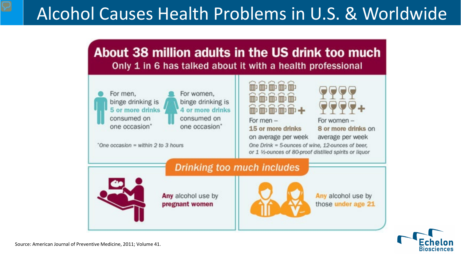# Alcohol Causes Health Problems in U.S. & Worldwide



For men, binge drinking is 5 or more drinks consumed on one occasion"

For women, binge drinking is 4 or more drinks consumed on one occasion"

"One occasion = within 2 to 3 hours"



For men $-$ 15 or more drinks on average per week One Drink = 5-ounces of wine, 12-ounces of beer, or 1 1/2-ounces of 80-proof distilled spirits or liquor



8 or more drinks on

average per week

**Drinking too much includes** 

Any alcohol use by pregnant women



Any alcohol use by those under age 21



Source: American Journal of Preventive Medicine, 2011; Volume 41.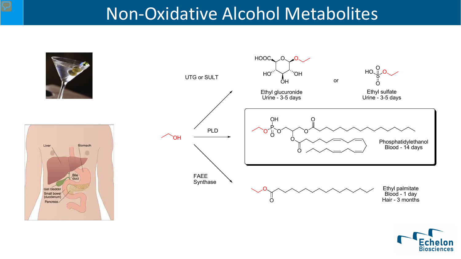#### Non-Oxidative Alcohol Metabolites



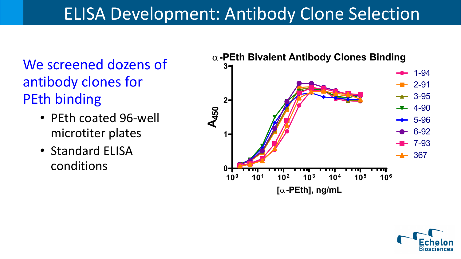# ELISA Development: Antibody Clone Selection

We screened dozens of antibody clones for PEth binding

- PEth coated 96-well microtiter plates
- Standard ELISA conditions



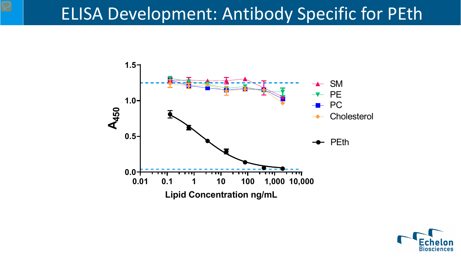#### ELISA Development: Antibody Specific for PEth



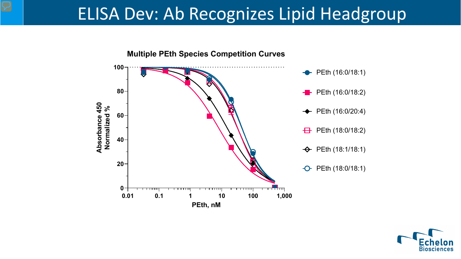#### ELISA Dev: Ab Recognizes Lipid Headgroup



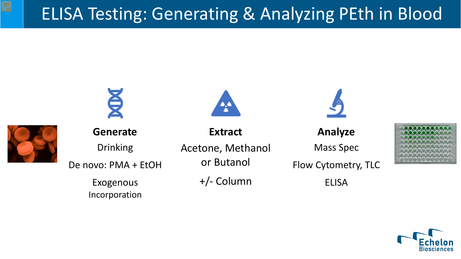### ELISA Testing: Generating & Analyzing PEth in Blood





**Generate**

Drinking De novo: PMA + EtOH

> Exogenous Incorporation

Acetone, Methanol or Butanol

**Extract**

+/- Column

**Analyze**

Mass Spec

Flow Cytometry, TLC

ELISA



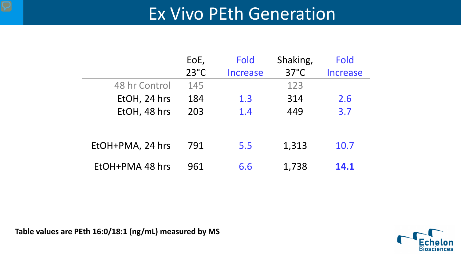#### Ex Vivo PEth Generation

|                  | EoE,           | <b>Fold</b> | Shaking,       | Fold            |  |
|------------------|----------------|-------------|----------------|-----------------|--|
|                  | $23^{\circ}$ C | Increase    | $37^{\circ}$ C | <b>Increase</b> |  |
| 48 hr Control    | 145            |             | 123            |                 |  |
| EtOH, 24 hrs     | 184            | 1.3         | 314            | 2.6             |  |
| EtOH, 48 hrs     | 203            | 1.4         | 449            | 3.7             |  |
|                  |                |             |                |                 |  |
| EtOH+PMA, 24 hrs | 791            | 5.5         | 1,313          | 10.7            |  |
|                  |                |             |                |                 |  |
| EtOH+PMA 48 hrs  | 961            | 6.6         | 1,738          | 14.1            |  |

**Table values are PEth 16:0/18:1 (ng/mL) measured by MS**

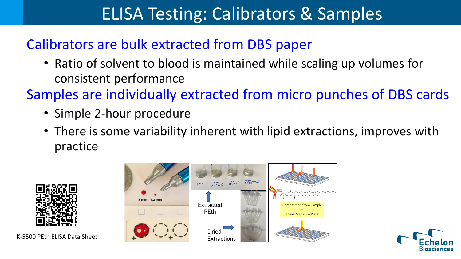# ELISA Testing: Calibrators & Samples

#### Calibrators are bulk extracted from DBS paper

• Ratio of solvent to blood is maintained while scaling up volumes for consistent performance

Samples are individually extracted from micro punches of DBS cards

- Simple 2-hour procedure
- There is some variability inherent with lipid extractions, improves with practice



K-5500 PEth ELISA Data Sheet



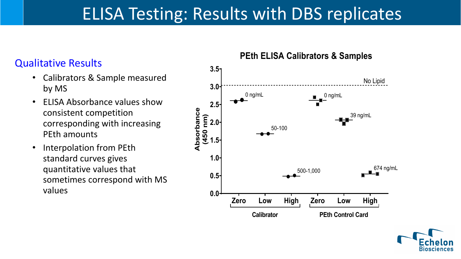## ELISA Testing: Results with DBS replicates

- Calibrators & Sample measured by MS
- ELISA Absorbance values show consistent competition corresponding with increasing PEth amounts
- Interpolation from PEth standard curves gives quantitative values that sometimes correspond with MS values



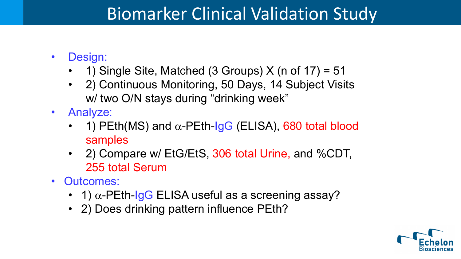#### Biomarker Clinical Validation Study

- Design:
	- 1) Single Site, Matched (3 Groups)  $X$  (n of 17) = 51
	- 2) Continuous Monitoring, 50 Days, 14 Subject Visits w/ two O/N stays during "drinking week"
- Analyze:
	- 1) PEth(MS) and  $\alpha$ -PEth-IgG (ELISA), 680 total blood samples
	- 2) Compare w/ EtG/EtS, 306 total Urine, and %CDT, 255 total Serum
- Outcomes:
	- 1)  $\alpha$ -PEth-IgG ELISA useful as a screening assay?
	- 2) Does drinking pattern influence PEth?

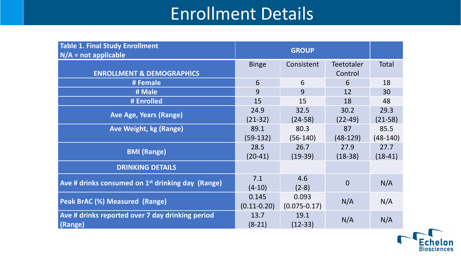#### Enrollment Details

| <b>Table 1. Final Study Enrollment</b>                        | <b>GROUP</b>    |                  |                   |              |  |
|---------------------------------------------------------------|-----------------|------------------|-------------------|--------------|--|
| $N/A$ = not applicable                                        |                 |                  |                   |              |  |
|                                                               | <b>Binge</b>    | Consistent       | <b>Teetotaler</b> | <b>Total</b> |  |
| <b>ENROLLMENT &amp; DEMOGRAPHICS</b>                          |                 |                  | Control           |              |  |
| # Female                                                      | 6               | 6                | 6                 | 18           |  |
| # Male                                                        | 9               | 9                | 12                | 30           |  |
| # Enrolled                                                    | 15              | 15               | 18                | 48           |  |
|                                                               | 24.9            | 32.5             | 30.2              | 29.3         |  |
| <b>Ave Age, Years (Range)</b>                                 | $(21-32)$       | $(24-58)$        | $(22-49)$         | $(21-58)$    |  |
| <b>Ave Weight, kg (Range)</b>                                 | 89.1            | 80.3             | 87                | 85.5         |  |
|                                                               | $(59-132)$      | $(56-140)$       | $(48-129)$        | $(48-140)$   |  |
|                                                               | 28.5            | 26.7             | 27.9              | 27.7         |  |
| <b>BMI (Range)</b>                                            | $(20-41)$       | $(19-39)$        | $(18-38)$         | $(18-41)$    |  |
| <b>DRINKING DETAILS</b>                                       |                 |                  |                   |              |  |
|                                                               | 7.1             | 4.6              |                   |              |  |
| Ave # drinks consumed on 1 <sup>st</sup> drinking day (Range) | $(4-10)$        | $(2-8)$          | $\overline{0}$    | N/A          |  |
|                                                               | 0.145           | 0.093            |                   |              |  |
| <b>Peak BrAC (%) Measured (Range)</b>                         | $(0.11 - 0.20)$ | $(0.075 - 0.17)$ | N/A               | N/A          |  |
| Ave # drinks reported over 7 day drinking period              | 13.7            | 19.1             |                   |              |  |
| (Range)                                                       | $(8-21)$        | $(12-33)$        | N/A               | N/A          |  |

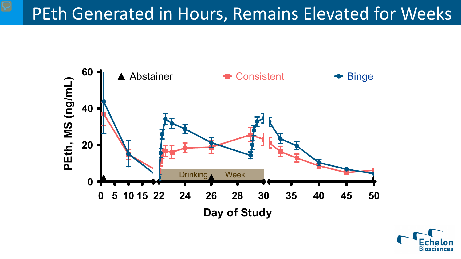#### PEth Generated in Hours, Remains Elevated for Weeks



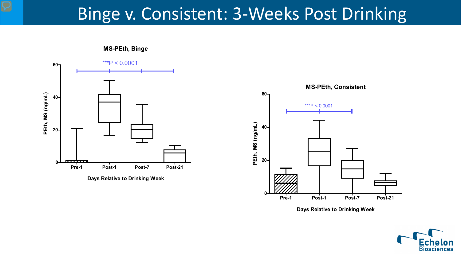#### Binge v. Consistent: 3-Weeks Post Drinking

**MS-PEth, Binge**



**Days Relative to Drinking Week**



**Days Relative to Drinking Week**